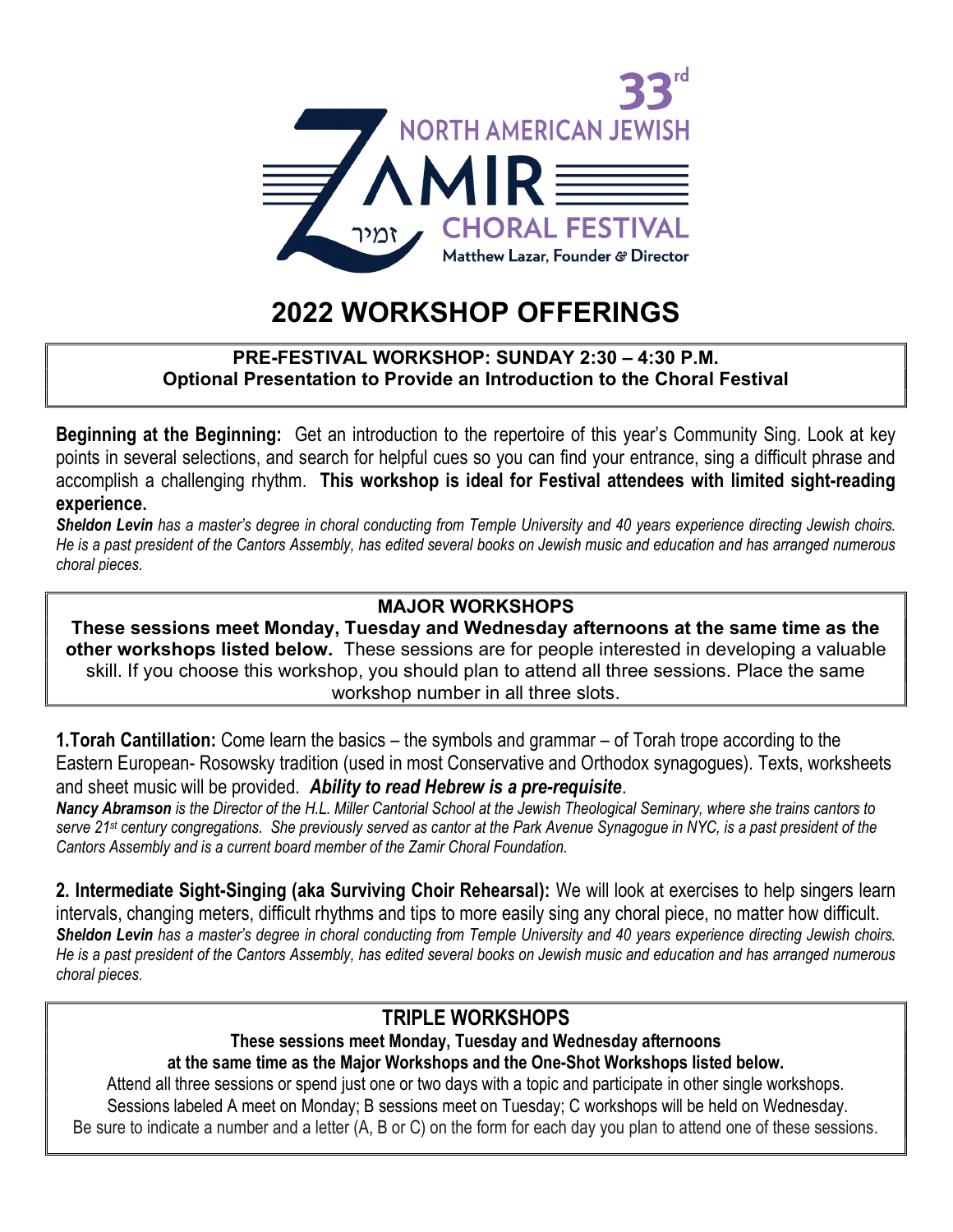

# 2022 WORKSHOP OFFERINGS

#### PRE-FESTIVAL WORKSHOP: SUNDAY 2:30 – 4:30 P.M. Optional Presentation to Provide an Introduction to the Choral Festival

Beginning at the Beginning: Get an introduction to the repertoire of this year's Community Sing. Look at key points in several selections, and search for helpful cues so you can find your entrance, sing a difficult phrase and accomplish a challenging rhythm. This workshop is ideal for Festival attendees with limited sight-reading experience.

Sheldon Levin has a master's degree in choral conducting from Temple University and 40 years experience directing Jewish choirs. He is a past president of the Cantors Assembly, has edited several books on Jewish music and education and has arranged numerous choral pieces.

#### MAJOR WORKSHOPS

These sessions meet Monday, Tuesday and Wednesday afternoons at the same time as the other workshops listed below. These sessions are for people interested in developing a valuable skill. If you choose this workshop, you should plan to attend all three sessions. Place the same workshop number in all three slots.

1.Torah Cantillation: Come learn the basics – the symbols and grammar – of Torah trope according to the Eastern European- Rosowsky tradition (used in most Conservative and Orthodox synagogues). Texts, worksheets and sheet music will be provided. Ability to read Hebrew is a pre-requisite.

Nancy Abramson is the Director of the H.L. Miller Cantorial School at the Jewish Theological Seminary, where she trains cantors to serve 21<sup>st</sup> century congregations. She previously served as cantor at the Park Avenue Synagogue in NYC, is a past president of the Cantors Assembly and is a current board member of the Zamir Choral Foundation.

2. Intermediate Sight-Singing (aka Surviving Choir Rehearsal): We will look at exercises to help singers learn intervals, changing meters, difficult rhythms and tips to more easily sing any choral piece, no matter how difficult. Sheldon Levin has a master's degree in choral conducting from Temple University and 40 years experience directing Jewish choirs. He is a past president of the Cantors Assembly, has edited several books on Jewish music and education and has arranged numerous choral pieces.

#### TRIPLE WORKSHOPS

These sessions meet Monday, Tuesday and Wednesday afternoons at the same time as the Major Workshops and the One-Shot Workshops listed below.

Attend all three sessions or spend just one or two days with a topic and participate in other single workshops. Sessions labeled A meet on Monday; B sessions meet on Tuesday; C workshops will be held on Wednesday. Be sure to indicate a number and a letter (A, B or C) on the form for each day you plan to attend one of these sessions.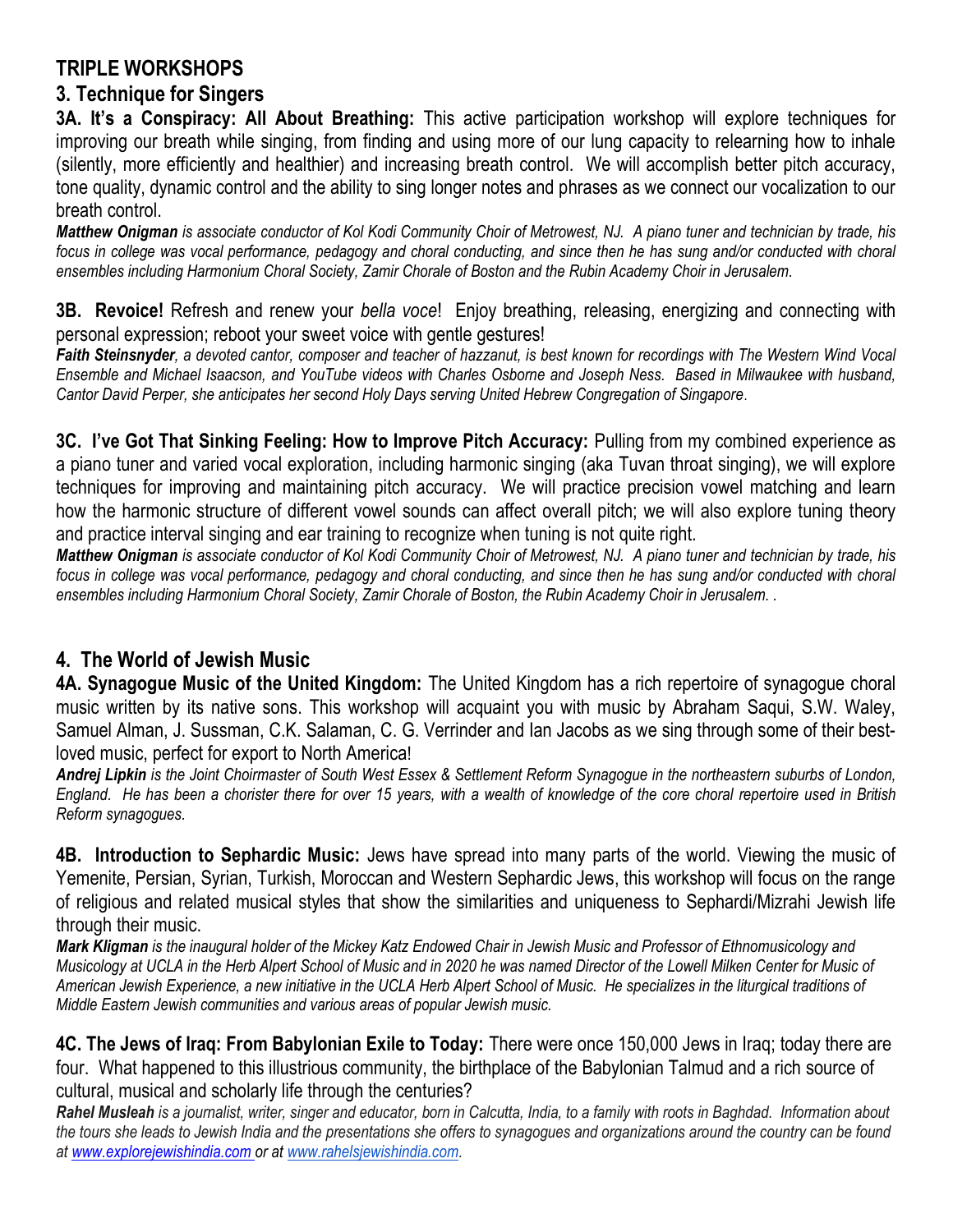## TRIPLE WORKSHOPS

### 3. Technique for Singers

3A. It's a Conspiracy: All About Breathing: This active participation workshop will explore techniques for improving our breath while singing, from finding and using more of our lung capacity to relearning how to inhale (silently, more efficiently and healthier) and increasing breath control. We will accomplish better pitch accuracy, tone quality, dynamic control and the ability to sing longer notes and phrases as we connect our vocalization to our breath control.

Matthew Onigman is associate conductor of Kol Kodi Community Choir of Metrowest, NJ. A piano tuner and technician by trade, his focus in college was vocal performance, pedagogy and choral conducting, and since then he has sung and/or conducted with choral ensembles including Harmonium Choral Society, Zamir Chorale of Boston and the Rubin Academy Choir in Jerusalem.

3B. Revoice! Refresh and renew your bella voce! Enjoy breathing, releasing, energizing and connecting with personal expression; reboot your sweet voice with gentle gestures!

Faith Steinsnyder, a devoted cantor, composer and teacher of hazzanut, is best known for recordings with The Western Wind Vocal Ensemble and Michael Isaacson, and YouTube videos with Charles Osborne and Joseph Ness. Based in Milwaukee with husband, Cantor David Perper, she anticipates her second Holy Days serving United Hebrew Congregation of Singapore.

3C. I've Got That Sinking Feeling: How to Improve Pitch Accuracy: Pulling from my combined experience as a piano tuner and varied vocal exploration, including harmonic singing (aka Tuvan throat singing), we will explore techniques for improving and maintaining pitch accuracy. We will practice precision vowel matching and learn how the harmonic structure of different vowel sounds can affect overall pitch; we will also explore tuning theory and practice interval singing and ear training to recognize when tuning is not quite right.

Matthew Onigman is associate conductor of Kol Kodi Community Choir of Metrowest, NJ. A piano tuner and technician by trade, his focus in college was vocal performance, pedagogy and choral conducting, and since then he has sung and/or conducted with choral ensembles including Harmonium Choral Society, Zamir Chorale of Boston, the Rubin Academy Choir in Jerusalem. .

# 4. The World of Jewish Music

4A. Synagogue Music of the United Kingdom: The United Kingdom has a rich repertoire of synagogue choral music written by its native sons. This workshop will acquaint you with music by Abraham Saqui, S.W. Waley, Samuel Alman, J. Sussman, C.K. Salaman, C. G. Verrinder and Ian Jacobs as we sing through some of their bestloved music, perfect for export to North America!

Andrej Lipkin is the Joint Choirmaster of South West Essex & Settlement Reform Synagogue in the northeastern suburbs of London, England. He has been a chorister there for over 15 years, with a wealth of knowledge of the core choral repertoire used in British Reform synagogues.

4B. Introduction to Sephardic Music: Jews have spread into many parts of the world. Viewing the music of Yemenite, Persian, Syrian, Turkish, Moroccan and Western Sephardic Jews, this workshop will focus on the range of religious and related musical styles that show the similarities and uniqueness to Sephardi/Mizrahi Jewish life through their music.

Mark Kligman is the inaugural holder of the Mickey Katz Endowed Chair in Jewish Music and Professor of Ethnomusicology and Musicology at UCLA in the Herb Alpert School of Music and in 2020 he was named Director of the Lowell Milken Center for Music of American Jewish Experience, a new initiative in the UCLA Herb Alpert School of Music. He specializes in the liturgical traditions of Middle Eastern Jewish communities and various areas of popular Jewish music.

4C. The Jews of Iraq: From Babylonian Exile to Today: There were once 150,000 Jews in Iraq; today there are four. What happened to this illustrious community, the birthplace of the Babylonian Talmud and a rich source of cultural, musical and scholarly life through the centuries?

Rahel Musleah is a journalist, writer, singer and educator, born in Calcutta, India, to a family with roots in Baghdad. Information about the tours she leads to Jewish India and the presentations she offers to synagogues and organizations around the country can be found at www.explorejewishindia.com or at www.rahelsjewishindia.com.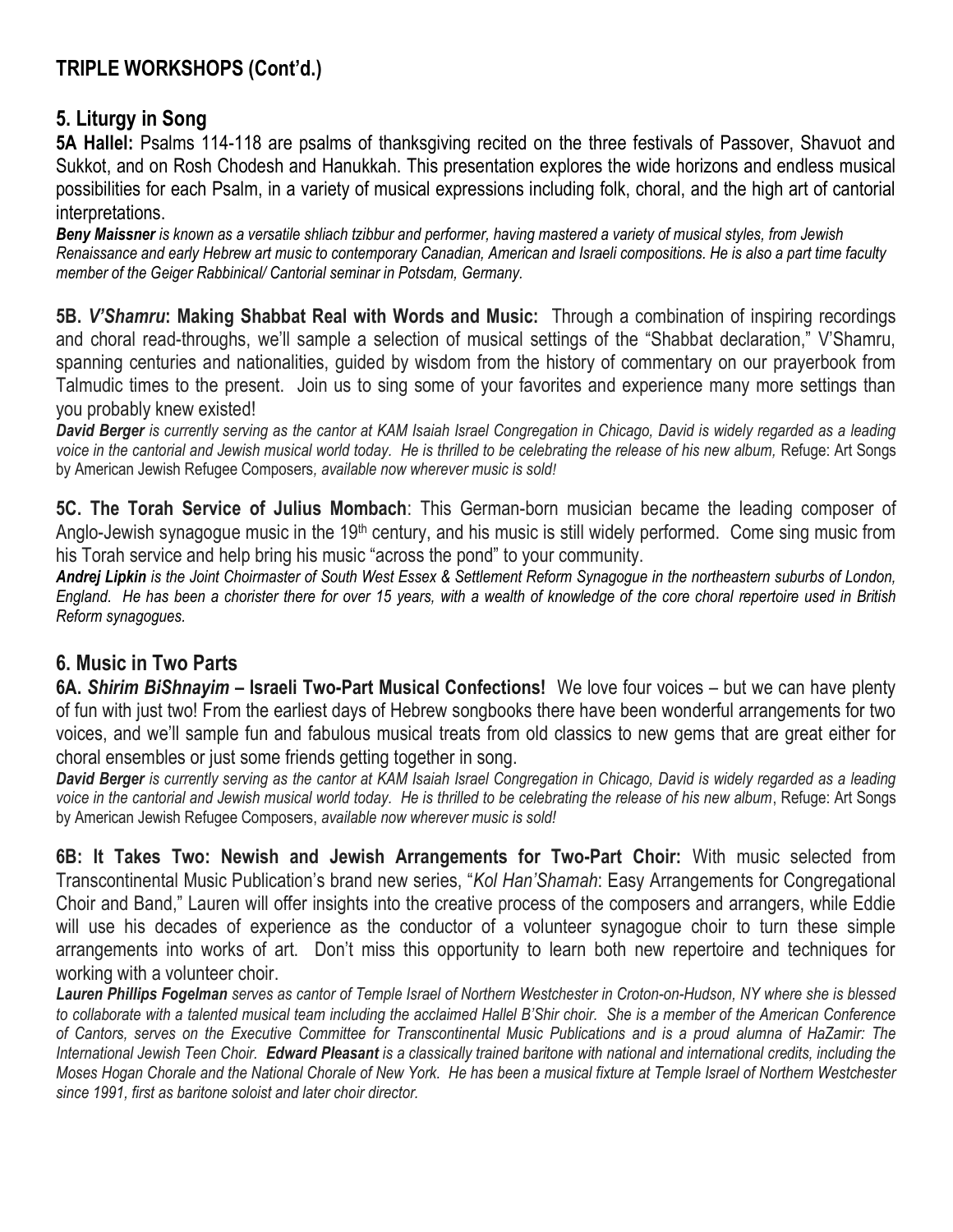# TRIPLE WORKSHOPS (Cont'd.)

### 5. Liturgy in Song

5A Hallel: Psalms 114-118 are psalms of thanksgiving recited on the three festivals of Passover, Shavuot and Sukkot, and on Rosh Chodesh and Hanukkah. This presentation explores the wide horizons and endless musical possibilities for each Psalm, in a variety of musical expressions including folk, choral, and the high art of cantorial interpretations.

Beny Maissner is known as a versatile shliach tzibbur and performer, having mastered a variety of musical styles, from Jewish Renaissance and early Hebrew art music to contemporary Canadian, American and Israeli compositions. He is also a part time faculty member of the Geiger Rabbinical/ Cantorial seminar in Potsdam, Germany.

5B. V'Shamru: Making Shabbat Real with Words and Music: Through a combination of inspiring recordings and choral read-throughs, we'll sample a selection of musical settings of the "Shabbat declaration," V'Shamru, spanning centuries and nationalities, guided by wisdom from the history of commentary on our prayerbook from Talmudic times to the present. Join us to sing some of your favorites and experience many more settings than you probably knew existed!

David Berger is currently serving as the cantor at KAM Isaiah Israel Congregation in Chicago, David is widely regarded as a leading voice in the cantorial and Jewish musical world today. He is thrilled to be celebrating the release of his new album, Refuge: Art Songs by American Jewish Refugee Composers, available now wherever music is sold!

5C. The Torah Service of Julius Mombach: This German-born musician became the leading composer of Anglo-Jewish synagogue music in the 19<sup>th</sup> century, and his music is still widely performed. Come sing music from his Torah service and help bring his music "across the pond" to your community.

Andrej Lipkin is the Joint Choirmaster of South West Essex & Settlement Reform Synagogue in the northeastern suburbs of London, England. He has been a chorister there for over 15 years, with a wealth of knowledge of the core choral repertoire used in British Reform synagogues.

#### 6. Music in Two Parts

6A. Shirim BiShnayim – Israeli Two-Part Musical Confections! We love four voices – but we can have plenty of fun with just two! From the earliest days of Hebrew songbooks there have been wonderful arrangements for two voices, and we'll sample fun and fabulous musical treats from old classics to new gems that are great either for choral ensembles or just some friends getting together in song.

David Berger is currently serving as the cantor at KAM Isaiah Israel Congregation in Chicago, David is widely regarded as a leading voice in the cantorial and Jewish musical world today. He is thrilled to be celebrating the release of his new album, Refuge: Art Songs by American Jewish Refugee Composers, available now wherever music is sold!

6B: It Takes Two: Newish and Jewish Arrangements for Two-Part Choir: With music selected from Transcontinental Music Publication's brand new series, "Kol Han'Shamah: Easy Arrangements for Congregational Choir and Band," Lauren will offer insights into the creative process of the composers and arrangers, while Eddie will use his decades of experience as the conductor of a volunteer synagogue choir to turn these simple arrangements into works of art. Don't miss this opportunity to learn both new repertoire and techniques for working with a volunteer choir.

Lauren Phillips Fogelman serves as cantor of Temple Israel of Northern Westchester in Croton-on-Hudson, NY where she is blessed to collaborate with a talented musical team including the acclaimed Hallel B'Shir choir. She is a member of the American Conference of Cantors, serves on the Executive Committee for Transcontinental Music Publications and is a proud alumna of HaZamir: The International Jewish Teen Choir. Edward Pleasant is a classically trained baritone with national and international credits, including the Moses Hogan Chorale and the National Chorale of New York. He has been a musical fixture at Temple Israel of Northern Westchester since 1991, first as baritone soloist and later choir director.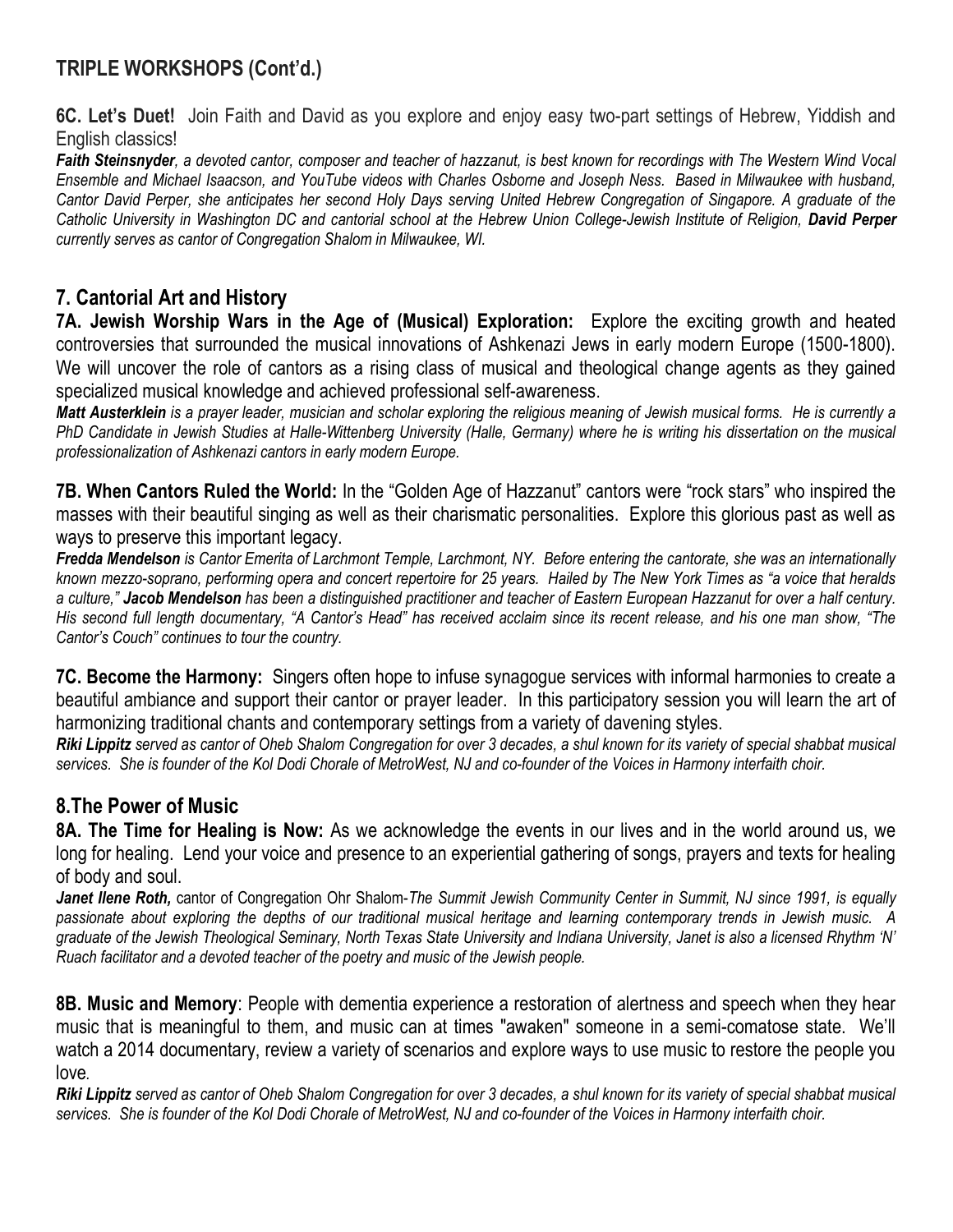## TRIPLE WORKSHOPS (Cont'd.)

6C. Let's Duet! Join Faith and David as you explore and enjoy easy two-part settings of Hebrew, Yiddish and English classics!

Faith Steinsnyder, a devoted cantor, composer and teacher of hazzanut, is best known for recordings with The Western Wind Vocal Ensemble and Michael Isaacson, and YouTube videos with Charles Osborne and Joseph Ness. Based in Milwaukee with husband, Cantor David Perper, she anticipates her second Holy Days serving United Hebrew Congregation of Singapore. A graduate of the Catholic University in Washington DC and cantorial school at the Hebrew Union College-Jewish Institute of Religion, David Perper currently serves as cantor of Congregation Shalom in Milwaukee, WI.

### 7. Cantorial Art and History

7A. Jewish Worship Wars in the Age of (Musical) Exploration: Explore the exciting growth and heated controversies that surrounded the musical innovations of Ashkenazi Jews in early modern Europe (1500-1800). We will uncover the role of cantors as a rising class of musical and theological change agents as they gained specialized musical knowledge and achieved professional self-awareness.

Matt Austerklein is a prayer leader, musician and scholar exploring the religious meaning of Jewish musical forms. He is currently a PhD Candidate in Jewish Studies at Halle-Wittenberg University (Halle, Germany) where he is writing his dissertation on the musical professionalization of Ashkenazi cantors in early modern Europe.

7B. When Cantors Ruled the World: In the "Golden Age of Hazzanut" cantors were "rock stars" who inspired the masses with their beautiful singing as well as their charismatic personalities. Explore this glorious past as well as ways to preserve this important legacy.

Fredda Mendelson is Cantor Emerita of Larchmont Temple, Larchmont, NY. Before entering the cantorate, she was an internationally known mezzo-soprano, performing opera and concert repertoire for 25 years. Hailed by The New York Times as "a voice that heralds a culture," Jacob Mendelson has been a distinguished practitioner and teacher of Eastern European Hazzanut for over a half century. His second full length documentary, "A Cantor's Head" has received acclaim since its recent release, and his one man show, "The Cantor's Couch" continues to tour the country.

7C. Become the Harmony: Singers often hope to infuse synagogue services with informal harmonies to create a beautiful ambiance and support their cantor or prayer leader. In this participatory session you will learn the art of harmonizing traditional chants and contemporary settings from a variety of davening styles.

Riki Lippitz served as cantor of Oheb Shalom Congregation for over 3 decades, a shul known for its variety of special shabbat musical services. She is founder of the Kol Dodi Chorale of MetroWest, NJ and co-founder of the Voices in Harmony interfaith choir.

### 8.The Power of Music

8A. The Time for Healing is Now: As we acknowledge the events in our lives and in the world around us, we long for healing. Lend your voice and presence to an experiential gathering of songs, prayers and texts for healing of body and soul.

Janet Ilene Roth, cantor of Congregation Ohr Shalom-The Summit Jewish Community Center in Summit, NJ since 1991, is equally passionate about exploring the depths of our traditional musical heritage and learning contemporary trends in Jewish music. A graduate of the Jewish Theological Seminary, North Texas State University and Indiana University, Janet is also a licensed Rhythm 'N' Ruach facilitator and a devoted teacher of the poetry and music of the Jewish people.

8B. Music and Memory: People with dementia experience a restoration of alertness and speech when they hear music that is meaningful to them, and music can at times "awaken" someone in a semi-comatose state. We'll watch a 2014 documentary, review a variety of scenarios and explore ways to use music to restore the people you love.

Riki Lippitz served as cantor of Oheb Shalom Congregation for over 3 decades, a shul known for its variety of special shabbat musical services. She is founder of the Kol Dodi Chorale of MetroWest, NJ and co-founder of the Voices in Harmony interfaith choir.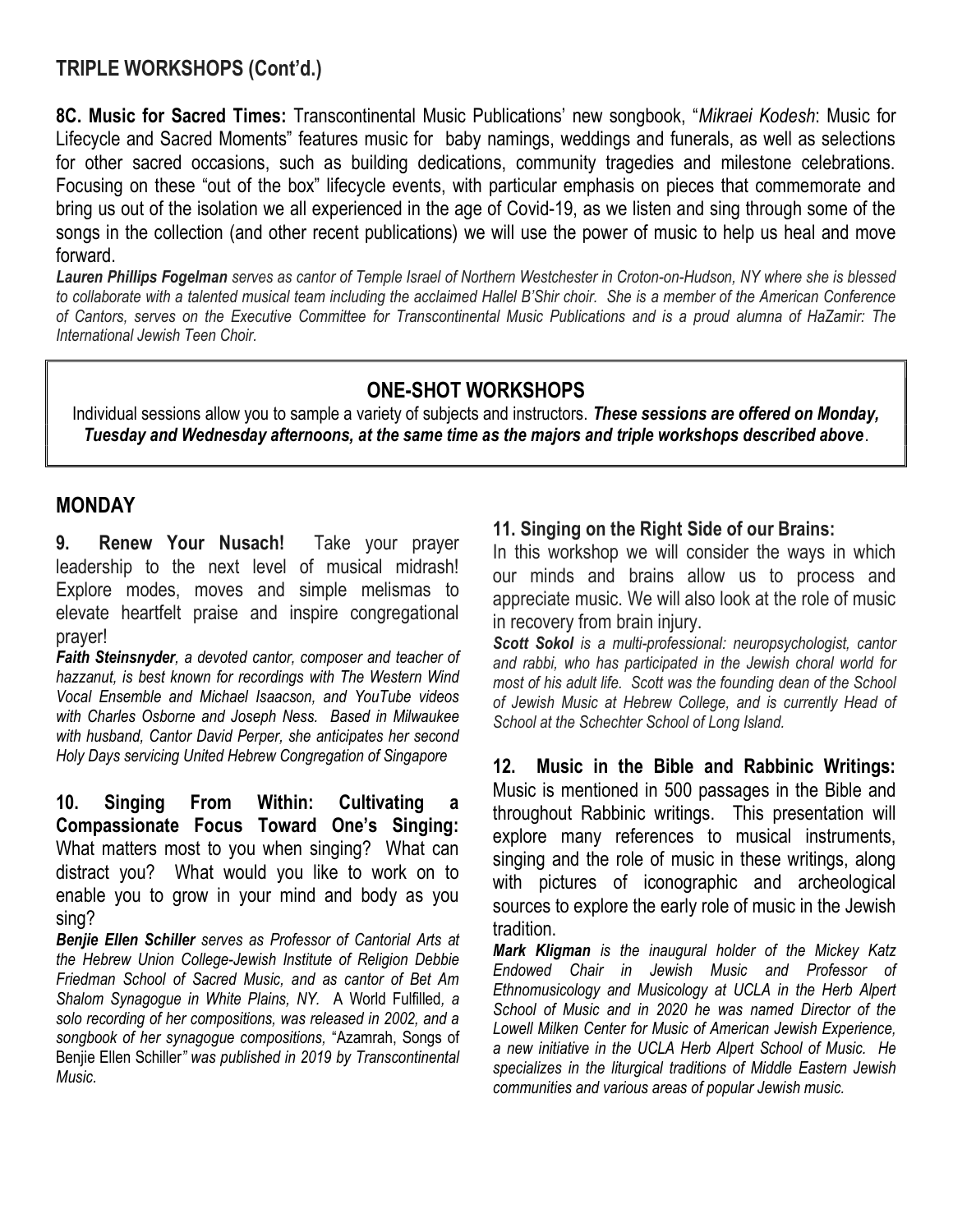### TRIPLE WORKSHOPS (Cont'd.)

8C. Music for Sacred Times: Transcontinental Music Publications' new songbook, "Mikraei Kodesh: Music for Lifecycle and Sacred Moments" features music for baby namings, weddings and funerals, as well as selections for other sacred occasions, such as building dedications, community tragedies and milestone celebrations. Focusing on these "out of the box" lifecycle events, with particular emphasis on pieces that commemorate and bring us out of the isolation we all experienced in the age of Covid-19, as we listen and sing through some of the songs in the collection (and other recent publications) we will use the power of music to help us heal and move forward.

Lauren Phillips Fogelman serves as cantor of Temple Israel of Northern Westchester in Croton-on-Hudson, NY where she is blessed to collaborate with a talented musical team including the acclaimed Hallel B'Shir choir. She is a member of the American Conference of Cantors, serves on the Executive Committee for Transcontinental Music Publications and is a proud alumna of HaZamir: The International Jewish Teen Choir.

## ONE-SHOT WORKSHOPS

Individual sessions allow you to sample a variety of subjects and instructors. These sessions are offered on Monday, Tuesday and Wednesday afternoons, at the same time as the majors and triple workshops described above.

#### **MONDAY**

9. Renew Your Nusach! Take your prayer leadership to the next level of musical midrash! Explore modes, moves and simple melismas to elevate heartfelt praise and inspire congregational prayer!

Faith Steinsnyder, a devoted cantor, composer and teacher of hazzanut, is best known for recordings with The Western Wind Vocal Ensemble and Michael Isaacson, and YouTube videos with Charles Osborne and Joseph Ness. Based in Milwaukee with husband, Cantor David Perper, she anticipates her second Holy Days servicing United Hebrew Congregation of Singapore

10. Singing From Within: Cultivating a Compassionate Focus Toward One's Singing: What matters most to you when singing? What can distract you? What would you like to work on to enable you to grow in your mind and body as you sing?

Benjie Ellen Schiller serves as Professor of Cantorial Arts at the Hebrew Union College-Jewish Institute of Religion Debbie Friedman School of Sacred Music, and as cantor of Bet Am Shalom Synagogue in White Plains, NY. A World Fulfilled, a solo recording of her compositions, was released in 2002, and a songbook of her synagogue compositions, "Azamrah, Songs of Benjie Ellen Schiller" was published in 2019 by Transcontinental Music.

#### 11. Singing on the Right Side of our Brains:

In this workshop we will consider the ways in which our minds and brains allow us to process and appreciate music. We will also look at the role of music in recovery from brain injury.

Scott Sokol is a multi-professional: neuropsychologist, cantor and rabbi, who has participated in the Jewish choral world for most of his adult life. Scott was the founding dean of the School of Jewish Music at Hebrew College, and is currently Head of School at the Schechter School of Long Island.

12. Music in the Bible and Rabbinic Writings: Music is mentioned in 500 passages in the Bible and throughout Rabbinic writings. This presentation will explore many references to musical instruments, singing and the role of music in these writings, along with pictures of iconographic and archeological sources to explore the early role of music in the Jewish tradition.

Mark Kligman is the inaugural holder of the Mickey Katz Endowed Chair in Jewish Music and Professor of Ethnomusicology and Musicology at UCLA in the Herb Alpert School of Music and in 2020 he was named Director of the Lowell Milken Center for Music of American Jewish Experience, a new initiative in the UCLA Herb Alpert School of Music. He specializes in the liturgical traditions of Middle Eastern Jewish communities and various areas of popular Jewish music.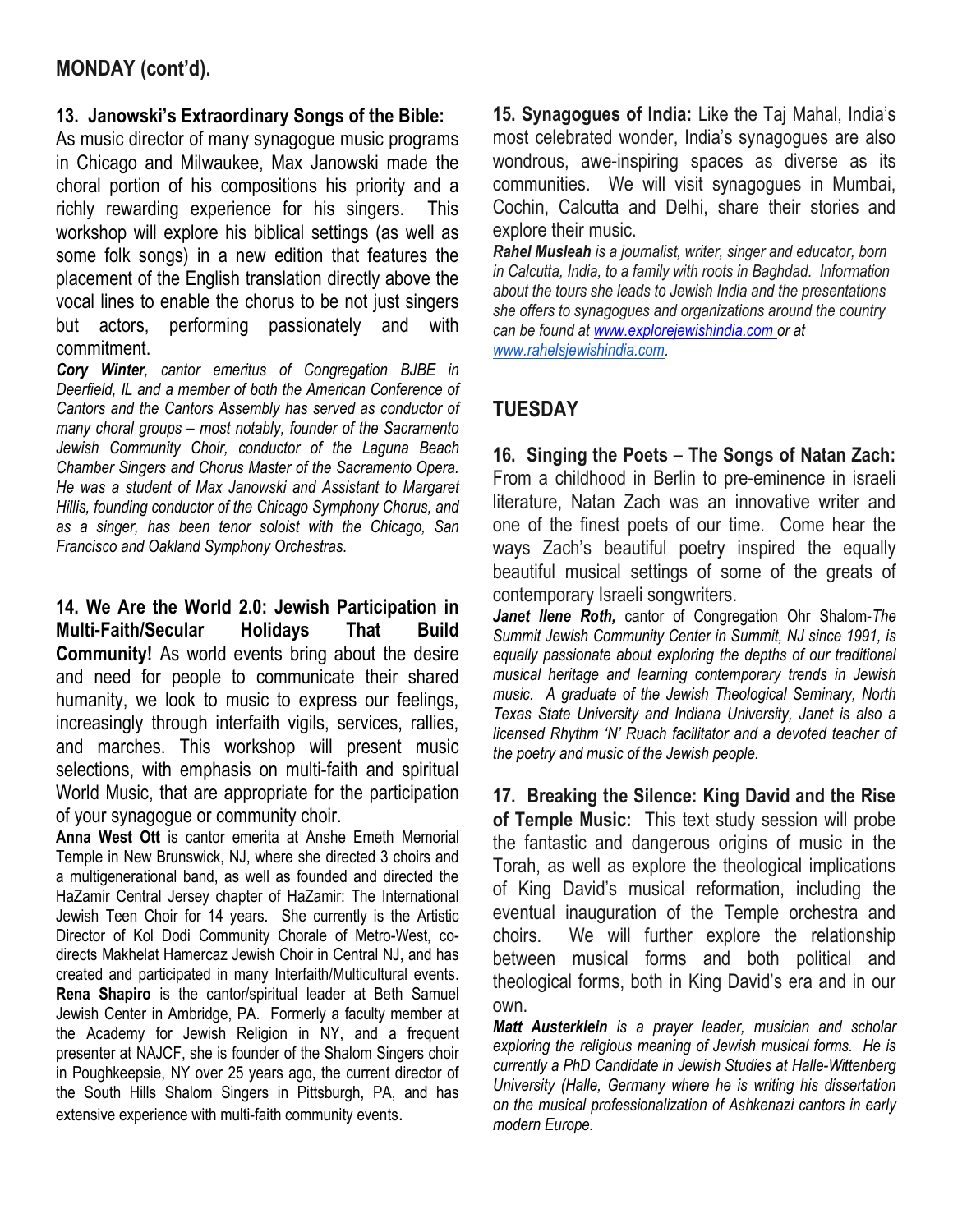### MONDAY (cont'd).

#### 13. Janowski's Extraordinary Songs of the Bible:

As music director of many synagogue music programs in Chicago and Milwaukee, Max Janowski made the choral portion of his compositions his priority and a richly rewarding experience for his singers. This workshop will explore his biblical settings (as well as some folk songs) in a new edition that features the placement of the English translation directly above the vocal lines to enable the chorus to be not just singers but actors, performing passionately and with commitment.

Cory Winter, cantor emeritus of Congregation BJBE in Deerfield, IL and a member of both the American Conference of Cantors and the Cantors Assembly has served as conductor of many choral groups – most notably, founder of the Sacramento Jewish Community Choir, conductor of the Laguna Beach Chamber Singers and Chorus Master of the Sacramento Opera. He was a student of Max Janowski and Assistant to Margaret Hillis, founding conductor of the Chicago Symphony Chorus, and as a singer, has been tenor soloist with the Chicago, San Francisco and Oakland Symphony Orchestras.

14. We Are the World 2.0: Jewish Participation in Multi-Faith/Secular Holidays That Build Community! As world events bring about the desire and need for people to communicate their shared humanity, we look to music to express our feelings, increasingly through interfaith vigils, services, rallies, and marches. This workshop will present music selections, with emphasis on multi-faith and spiritual World Music, that are appropriate for the participation of your synagogue or community choir.

Anna West Ott is cantor emerita at Anshe Emeth Memorial Temple in New Brunswick, NJ, where she directed 3 choirs and a multigenerational band, as well as founded and directed the HaZamir Central Jersey chapter of HaZamir: The International Jewish Teen Choir for 14 years. She currently is the Artistic Director of Kol Dodi Community Chorale of Metro-West, codirects Makhelat Hamercaz Jewish Choir in Central NJ, and has created and participated in many Interfaith/Multicultural events. Rena Shapiro is the cantor/spiritual leader at Beth Samuel Jewish Center in Ambridge, PA. Formerly a faculty member at the Academy for Jewish Religion in NY, and a frequent presenter at NAJCF, she is founder of the Shalom Singers choir in Poughkeepsie, NY over 25 years ago, the current director of the South Hills Shalom Singers in Pittsburgh, PA, and has extensive experience with multi-faith community events.

15. Synagogues of India: Like the Taj Mahal, India's most celebrated wonder, India's synagogues are also wondrous, awe-inspiring spaces as diverse as its communities. We will visit synagogues in Mumbai, Cochin, Calcutta and Delhi, share their stories and explore their music.

Rahel Musleah is a journalist, writer, singer and educator, born in Calcutta, India, to a family with roots in Baghdad. Information about the tours she leads to Jewish India and the presentations she offers to synagogues and organizations around the country can be found at www.explorejewishindia.com or at www.rahelsjewishindia.com.

## **TUESDAY**

16. Singing the Poets – The Songs of Natan Zach: From a childhood in Berlin to pre-eminence in israeli literature, Natan Zach was an innovative writer and one of the finest poets of our time. Come hear the ways Zach's beautiful poetry inspired the equally beautiful musical settings of some of the greats of contemporary Israeli songwriters.

Janet Ilene Roth, cantor of Congregation Ohr Shalom-The Summit Jewish Community Center in Summit, NJ since 1991, is equally passionate about exploring the depths of our traditional musical heritage and learning contemporary trends in Jewish music. A graduate of the Jewish Theological Seminary, North Texas State University and Indiana University, Janet is also a licensed Rhythm 'N' Ruach facilitator and a devoted teacher of the poetry and music of the Jewish people.

17. Breaking the Silence: King David and the Rise of Temple Music: This text study session will probe the fantastic and dangerous origins of music in the Torah, as well as explore the theological implications of King David's musical reformation, including the eventual inauguration of the Temple orchestra and choirs. We will further explore the relationship between musical forms and both political and theological forms, both in King David's era and in our own.

Matt Austerklein is a prayer leader, musician and scholar exploring the religious meaning of Jewish musical forms. He is currently a PhD Candidate in Jewish Studies at Halle-Wittenberg University (Halle, Germany where he is writing his dissertation on the musical professionalization of Ashkenazi cantors in early modern Europe.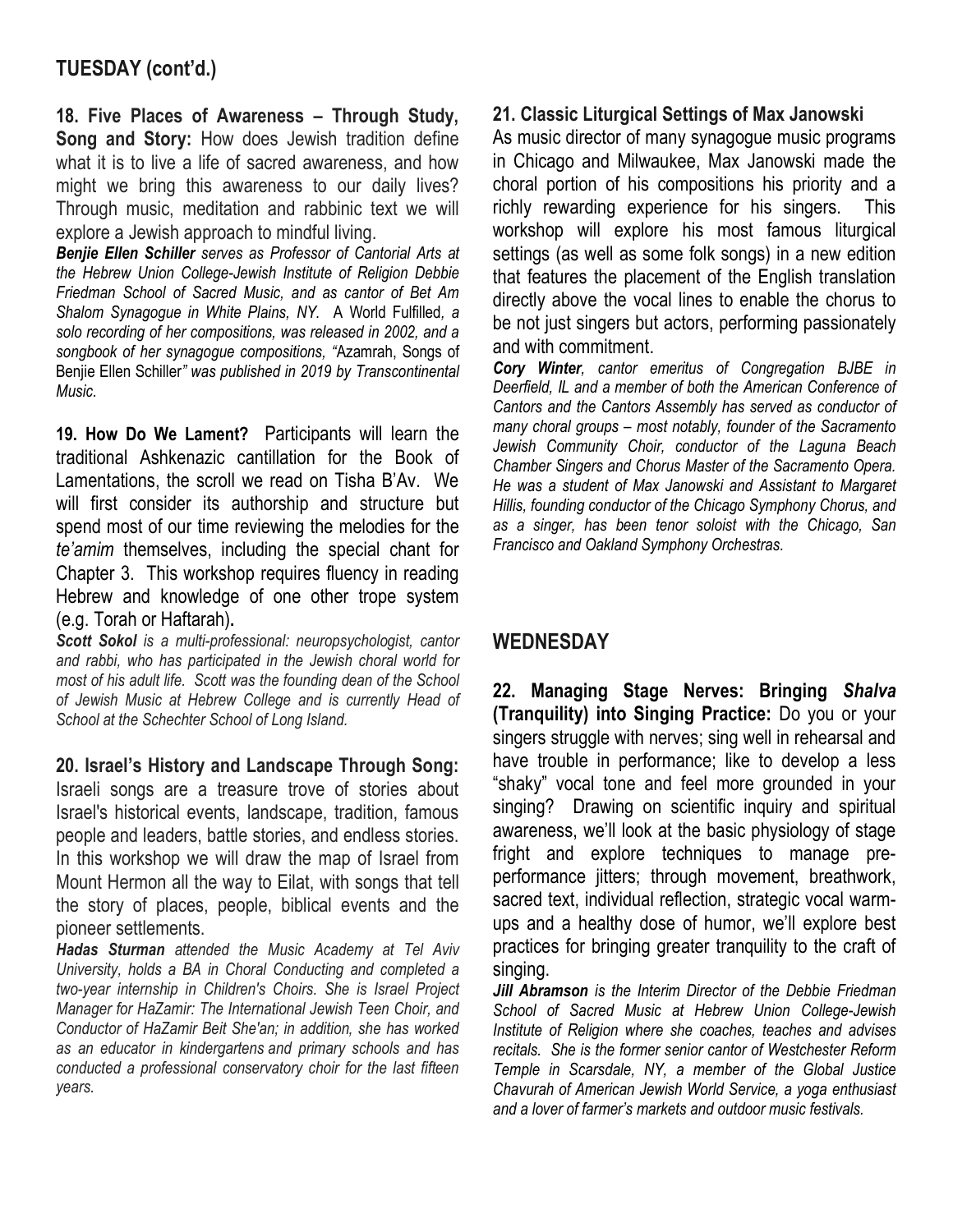### TUESDAY (cont'd.)

18. Five Places of Awareness – Through Study, Song and Story: How does Jewish tradition define what it is to live a life of sacred awareness, and how might we bring this awareness to our daily lives? Through music, meditation and rabbinic text we will explore a Jewish approach to mindful living.

Benjie Ellen Schiller serves as Professor of Cantorial Arts at the Hebrew Union College-Jewish Institute of Religion Debbie Friedman School of Sacred Music, and as cantor of Bet Am Shalom Synagogue in White Plains, NY. A World Fulfilled, a solo recording of her compositions, was released in 2002, and a songbook of her synagogue compositions, "Azamrah, Songs of Benjie Ellen Schiller" was published in 2019 by Transcontinental Music.

19. How Do We Lament? Participants will learn the traditional Ashkenazic cantillation for the Book of Lamentations, the scroll we read on Tisha B'Av. We will first consider its authorship and structure but spend most of our time reviewing the melodies for the te'amim themselves, including the special chant for Chapter 3. This workshop requires fluency in reading Hebrew and knowledge of one other trope system (e.g. Torah or Haftarah).

Scott Sokol is a multi-professional: neuropsychologist, cantor and rabbi, who has participated in the Jewish choral world for most of his adult life. Scott was the founding dean of the School of Jewish Music at Hebrew College and is currently Head of School at the Schechter School of Long Island.

20. Israel's History and Landscape Through Song: Israeli songs are a treasure trove of stories about Israel's historical events, landscape, tradition, famous people and leaders, battle stories, and endless stories. In this workshop we will draw the map of Israel from Mount Hermon all the way to Eilat, with songs that tell the story of places, people, biblical events and the pioneer settlements.

Hadas Sturman attended the Music Academy at Tel Aviv University, holds a BA in Choral Conducting and completed a two-year internship in Children's Choirs. She is Israel Project Manager for HaZamir: The International Jewish Teen Choir, and Conductor of HaZamir Beit She'an; in addition, she has worked as an educator in kindergartens and primary schools and has conducted a professional conservatory choir for the last fifteen years.

#### 21. Classic Liturgical Settings of Max Janowski

As music director of many synagogue music programs in Chicago and Milwaukee, Max Janowski made the choral portion of his compositions his priority and a richly rewarding experience for his singers. This workshop will explore his most famous liturgical settings (as well as some folk songs) in a new edition that features the placement of the English translation directly above the vocal lines to enable the chorus to be not just singers but actors, performing passionately and with commitment.

Cory Winter, cantor emeritus of Congregation BJBE in Deerfield, IL and a member of both the American Conference of Cantors and the Cantors Assembly has served as conductor of many choral groups – most notably, founder of the Sacramento Jewish Community Choir, conductor of the Laguna Beach Chamber Singers and Chorus Master of the Sacramento Opera. He was a student of Max Janowski and Assistant to Margaret Hillis, founding conductor of the Chicago Symphony Chorus, and as a singer, has been tenor soloist with the Chicago, San Francisco and Oakland Symphony Orchestras.

#### **WEDNESDAY**

22. Managing Stage Nerves: Bringing Shalva (Tranquility) into Singing Practice: Do you or your singers struggle with nerves; sing well in rehearsal and have trouble in performance; like to develop a less "shaky" vocal tone and feel more grounded in your singing? Drawing on scientific inquiry and spiritual awareness, we'll look at the basic physiology of stage fright and explore techniques to manage preperformance jitters; through movement, breathwork, sacred text, individual reflection, strategic vocal warmups and a healthy dose of humor, we'll explore best practices for bringing greater tranquility to the craft of singing.

**Jill Abramson** is the Interim Director of the Debbie Friedman School of Sacred Music at Hebrew Union College-Jewish Institute of Religion where she coaches, teaches and advises recitals. She is the former senior cantor of Westchester Reform Temple in Scarsdale, NY, a member of the Global Justice Chavurah of American Jewish World Service, a yoga enthusiast and a lover of farmer's markets and outdoor music festivals.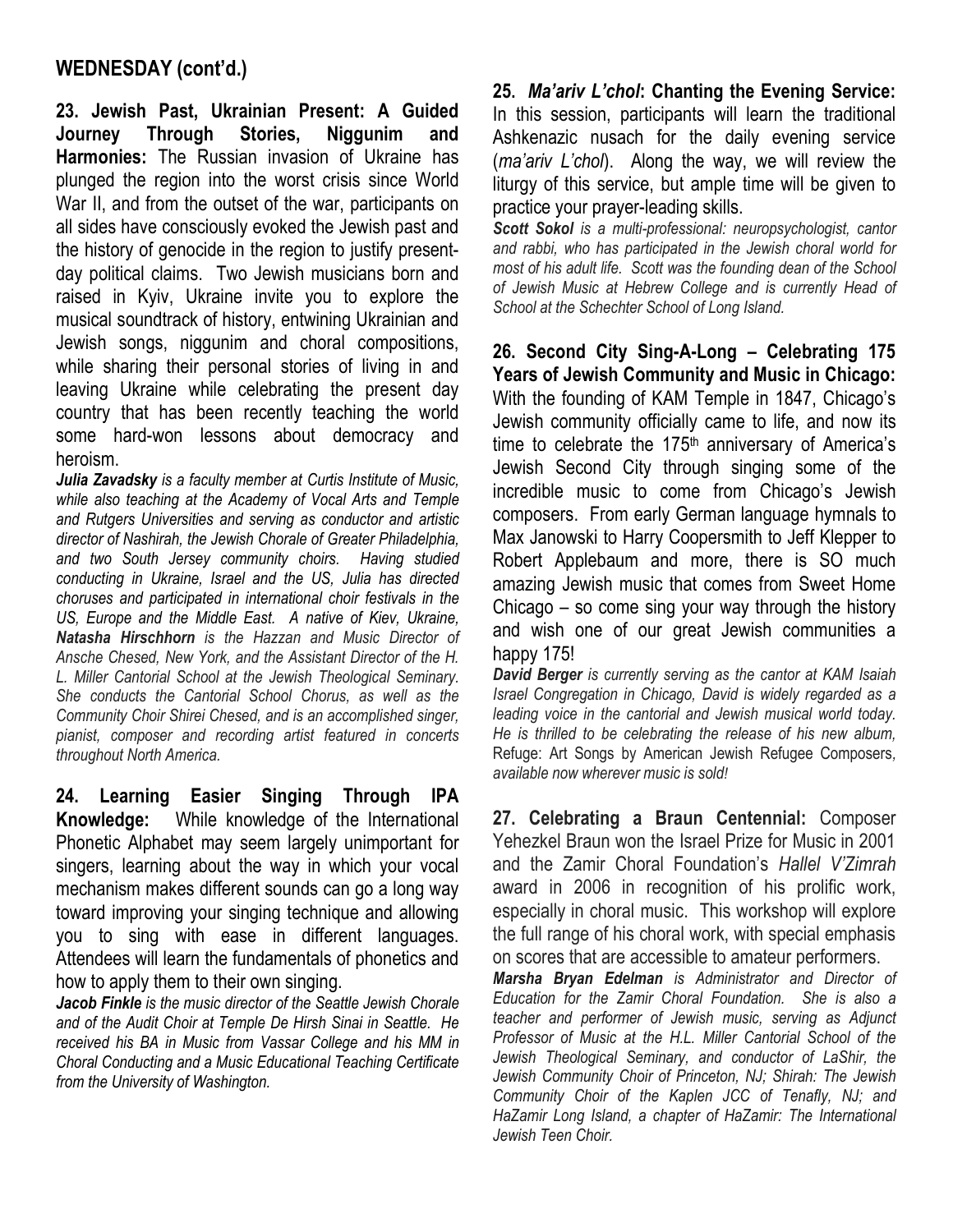#### WEDNESDAY (cont'd.)

23. Jewish Past, Ukrainian Present: A Guided Journey Through Stories, Niggunim and Harmonies: The Russian invasion of Ukraine has plunged the region into the worst crisis since World War II, and from the outset of the war, participants on all sides have consciously evoked the Jewish past and the history of genocide in the region to justify presentday political claims. Two Jewish musicians born and raised in Kyiv, Ukraine invite you to explore the musical soundtrack of history, entwining Ukrainian and Jewish songs, niggunim and choral compositions, while sharing their personal stories of living in and leaving Ukraine while celebrating the present day country that has been recently teaching the world some hard-won lessons about democracy and heroism.

Julia Zavadsky is a faculty member at Curtis Institute of Music, while also teaching at the Academy of Vocal Arts and Temple and Rutgers Universities and serving as conductor and artistic director of Nashirah, the Jewish Chorale of Greater Philadelphia, and two South Jersey community choirs. Having studied conducting in Ukraine, Israel and the US, Julia has directed choruses and participated in international choir festivals in the US, Europe and the Middle East. A native of Kiev, Ukraine, Natasha Hirschhorn is the Hazzan and Music Director of Ansche Chesed, New York, and the Assistant Director of the H. L. Miller Cantorial School at the Jewish Theological Seminary. She conducts the Cantorial School Chorus, as well as the Community Choir Shirei Chesed, and is an accomplished singer, pianist, composer and recording artist featured in concerts throughout North America.

24. Learning Easier Singing Through IPA Knowledge: While knowledge of the International Phonetic Alphabet may seem largely unimportant for singers, learning about the way in which your vocal mechanism makes different sounds can go a long way toward improving your singing technique and allowing you to sing with ease in different languages. Attendees will learn the fundamentals of phonetics and how to apply them to their own singing.

Jacob Finkle is the music director of the Seattle Jewish Chorale and of the Audit Choir at Temple De Hirsh Sinai in Seattle. He received his BA in Music from Vassar College and his MM in Choral Conducting and a Music Educational Teaching Certificate from the University of Washington.

25. Ma'ariv L'chol: Chanting the Evening Service: In this session, participants will learn the traditional Ashkenazic nusach for the daily evening service (ma'ariv L'chol). Along the way, we will review the liturgy of this service, but ample time will be given to practice your prayer-leading skills.

Scott Sokol is a multi-professional: neuropsychologist, cantor and rabbi, who has participated in the Jewish choral world for most of his adult life. Scott was the founding dean of the School of Jewish Music at Hebrew College and is currently Head of School at the Schechter School of Long Island.

26. Second City Sing-A-Long – Celebrating 175 Years of Jewish Community and Music in Chicago: With the founding of KAM Temple in 1847, Chicago's Jewish community officially came to life, and now its time to celebrate the  $175<sup>th</sup>$  anniversary of America's Jewish Second City through singing some of the incredible music to come from Chicago's Jewish composers. From early German language hymnals to Max Janowski to Harry Coopersmith to Jeff Klepper to Robert Applebaum and more, there is SO much amazing Jewish music that comes from Sweet Home Chicago – so come sing your way through the history and wish one of our great Jewish communities a happy 175!

David Berger is currently serving as the cantor at KAM Isaiah Israel Congregation in Chicago, David is widely regarded as a leading voice in the cantorial and Jewish musical world today. He is thrilled to be celebrating the release of his new album, Refuge: Art Songs by American Jewish Refugee Composers, available now wherever music is sold!

27. Celebrating a Braun Centennial: Composer Yehezkel Braun won the Israel Prize for Music in 2001 and the Zamir Choral Foundation's Hallel V'Zimrah award in 2006 in recognition of his prolific work, especially in choral music. This workshop will explore the full range of his choral work, with special emphasis on scores that are accessible to amateur performers.

Marsha Bryan Edelman is Administrator and Director of Education for the Zamir Choral Foundation. She is also a teacher and performer of Jewish music, serving as Adjunct Professor of Music at the H.L. Miller Cantorial School of the Jewish Theological Seminary, and conductor of LaShir, the Jewish Community Choir of Princeton, NJ; Shirah: The Jewish Community Choir of the Kaplen JCC of Tenafly, NJ; and HaZamir Long Island, a chapter of HaZamir: The International Jewish Teen Choir.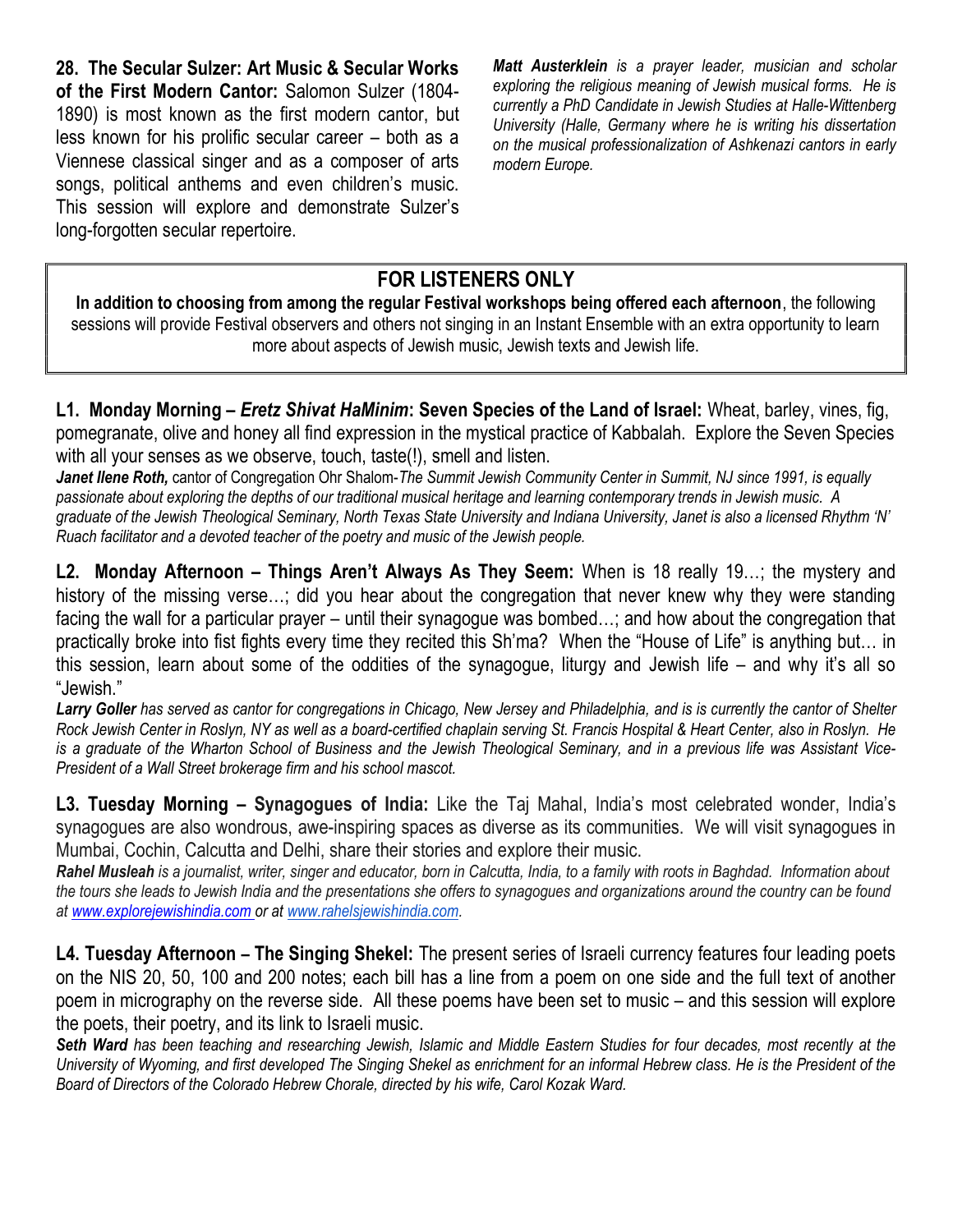28. The Secular Sulzer: Art Music & Secular Works of the First Modern Cantor: Salomon Sulzer (1804- 1890) is most known as the first modern cantor, but less known for his prolific secular career – both as a Viennese classical singer and as a composer of arts songs, political anthems and even children's music. This session will explore and demonstrate Sulzer's long-forgotten secular repertoire.

Matt Austerklein is a prayer leader, musician and scholar exploring the religious meaning of Jewish musical forms. He is currently a PhD Candidate in Jewish Studies at Halle-Wittenberg University (Halle, Germany where he is writing his dissertation on the musical professionalization of Ashkenazi cantors in early modern Europe.

# FOR LISTENERS ONLY

In addition to choosing from among the regular Festival workshops being offered each afternoon, the following sessions will provide Festival observers and others not singing in an Instant Ensemble with an extra opportunity to learn more about aspects of Jewish music, Jewish texts and Jewish life.

L1. Monday Morning – *Eretz Shivat HaMinim*: Seven Species of the Land of Israel: Wheat, barley, vines, fig, pomegranate, olive and honey all find expression in the mystical practice of Kabbalah. Explore the Seven Species with all your senses as we observe, touch, taste(!), smell and listen.

Janet Ilene Roth, cantor of Congregation Ohr Shalom-The Summit Jewish Community Center in Summit, NJ since 1991, is equally passionate about exploring the depths of our traditional musical heritage and learning contemporary trends in Jewish music. A graduate of the Jewish Theological Seminary, North Texas State University and Indiana University, Janet is also a licensed Rhythm 'N' Ruach facilitator and a devoted teacher of the poetry and music of the Jewish people.

L2. Monday Afternoon – Things Aren't Always As They Seem: When is 18 really 19…; the mystery and history of the missing verse...; did you hear about the congregation that never knew why they were standing facing the wall for a particular prayer – until their synagogue was bombed…; and how about the congregation that practically broke into fist fights every time they recited this Sh'ma? When the "House of Life" is anything but… in this session, learn about some of the oddities of the synagogue, liturgy and Jewish life – and why it's all so "Jewish."

Larry Goller has served as cantor for congregations in Chicago, New Jersey and Philadelphia, and is is currently the cantor of Shelter Rock Jewish Center in Roslyn, NY as well as a board-certified chaplain serving St. Francis Hospital & Heart Center, also in Roslyn. He is a graduate of the Wharton School of Business and the Jewish Theological Seminary, and in a previous life was Assistant Vice-President of a Wall Street brokerage firm and his school mascot.

L3. Tuesday Morning – Synagogues of India: Like the Taj Mahal, India's most celebrated wonder, India's synagogues are also wondrous, awe-inspiring spaces as diverse as its communities. We will visit synagogues in Mumbai, Cochin, Calcutta and Delhi, share their stories and explore their music.

Rahel Musleah is a journalist, writer, singer and educator, born in Calcutta, India, to a family with roots in Baghdad. Information about the tours she leads to Jewish India and the presentations she offers to synagogues and organizations around the country can be found at www.explorejewishindia.com or at www.rahelsjewishindia.com.

L4. Tuesday Afternoon – The Singing Shekel: The present series of Israeli currency features four leading poets on the NIS 20, 50, 100 and 200 notes; each bill has a line from a poem on one side and the full text of another poem in micrography on the reverse side. All these poems have been set to music – and this session will explore the poets, their poetry, and its link to Israeli music.

Seth Ward has been teaching and researching Jewish, Islamic and Middle Eastern Studies for four decades, most recently at the University of Wyoming, and first developed The Singing Shekel as enrichment for an informal Hebrew class. He is the President of the Board of Directors of the Colorado Hebrew Chorale, directed by his wife, Carol Kozak Ward.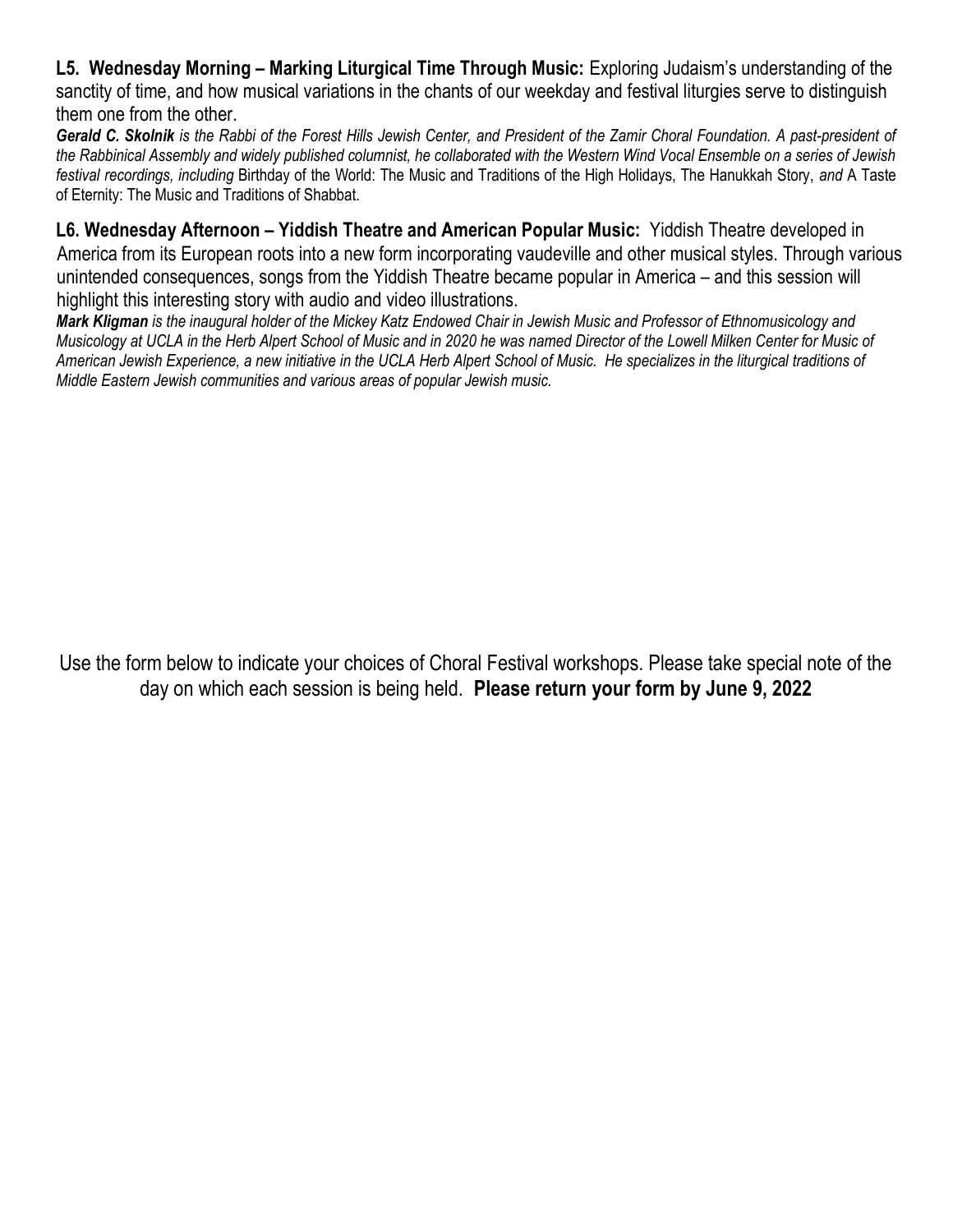L5. Wednesday Morning – Marking Liturgical Time Through Music: Exploring Judaism's understanding of the sanctity of time, and how musical variations in the chants of our weekday and festival liturgies serve to distinguish them one from the other.

Gerald C. Skolnik is the Rabbi of the Forest Hills Jewish Center, and President of the Zamir Choral Foundation. A past-president of the Rabbinical Assembly and widely published columnist, he collaborated with the Western Wind Vocal Ensemble on a series of Jewish festival recordings, including Birthday of the World: The Music and Traditions of the High Holidays, The Hanukkah Story, and A Taste of Eternity: The Music and Traditions of Shabbat.

L6. Wednesday Afternoon – Yiddish Theatre and American Popular Music: Yiddish Theatre developed in America from its European roots into a new form incorporating vaudeville and other musical styles. Through various unintended consequences, songs from the Yiddish Theatre became popular in America – and this session will highlight this interesting story with audio and video illustrations.

Mark Kligman is the inaugural holder of the Mickey Katz Endowed Chair in Jewish Music and Professor of Ethnomusicology and Musicology at UCLA in the Herb Alpert School of Music and in 2020 he was named Director of the Lowell Milken Center for Music of American Jewish Experience, a new initiative in the UCLA Herb Alpert School of Music. He specializes in the liturgical traditions of Middle Eastern Jewish communities and various areas of popular Jewish music.

Use the form below to indicate your choices of Choral Festival workshops. Please take special note of the day on which each session is being held. Please return your form by June 9, 2022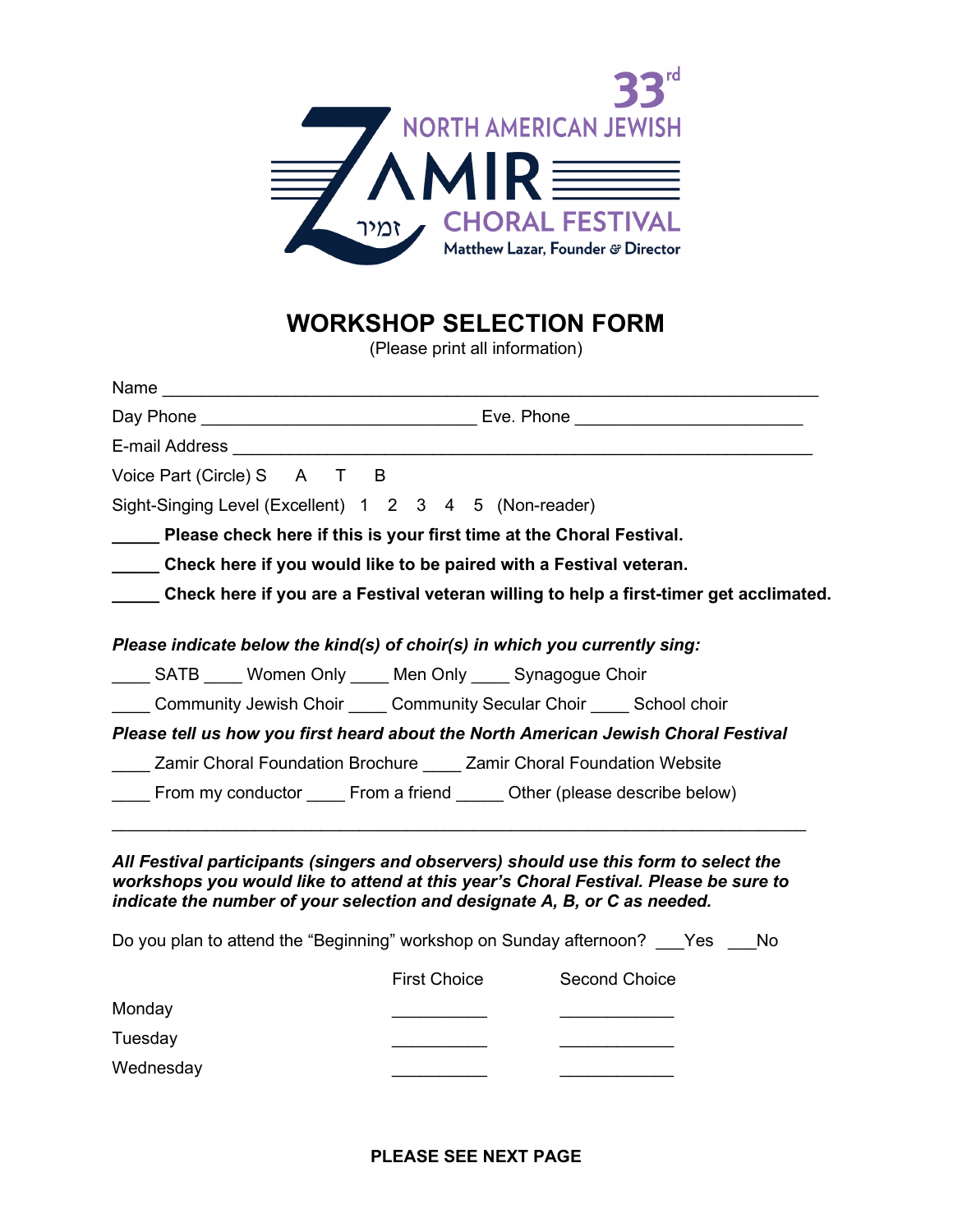

# WORKSHOP SELECTION FORM

(Please print all information)

| Voice Part (Circle) S A T B                                                            |  |  |  |
|----------------------------------------------------------------------------------------|--|--|--|
| Sight-Singing Level (Excellent) 1 2 3 4 5 (Non-reader)                                 |  |  |  |
| ___ Please check here if this is your first time at the Choral Festival.               |  |  |  |
| Check here if you would like to be paired with a Festival veteran.                     |  |  |  |
| Check here if you are a Festival veteran willing to help a first-timer get acclimated. |  |  |  |
| Please indicate below the kind(s) of choir(s) in which you currently sing:             |  |  |  |
| SATB ____ Women Only ____ Men Only ____ Synagogue Choir                                |  |  |  |
| Community Jewish Choir Community Secular Choir Chool Chool choir                       |  |  |  |
| Please tell us how you first heard about the North American Jewish Choral Festival     |  |  |  |
| Zamir Choral Foundation Brochure Zamir Choral Foundation Website                       |  |  |  |
| From my conductor ______ From a friend ______ Other (please describe below)            |  |  |  |

All Festival participants (singers and observers) should use this form to select the workshops you would like to attend at this year's Choral Festival. Please be sure to indicate the number of your selection and designate A, B, or C as needed.

Do you plan to attend the "Beginning" workshop on Sunday afternoon? \_\_\_Yes \_\_\_No

|           | <b>First Choice</b> | Second Choice |
|-----------|---------------------|---------------|
| Monday    |                     |               |
| Tuesday   |                     |               |
| Wednesday |                     |               |

#### PLEASE SEE NEXT PAGE